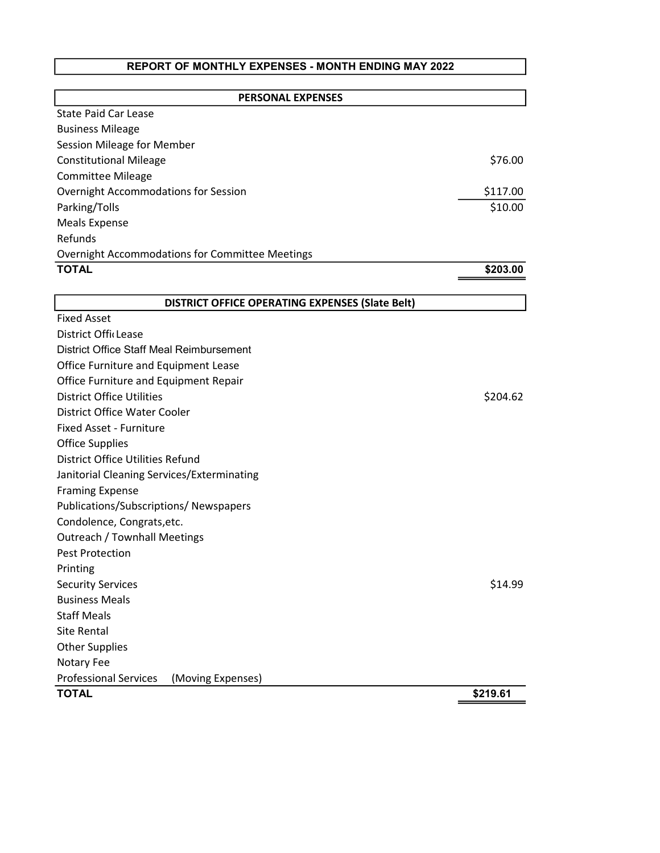## REPORT OF MONTHLY EXPENSES - MONTH ENDING MAY 2022

| <b>PERSONAL EXPENSES</b>                               |          |
|--------------------------------------------------------|----------|
| <b>State Paid Car Lease</b>                            |          |
| <b>Business Mileage</b>                                |          |
| Session Mileage for Member                             |          |
| <b>Constitutional Mileage</b>                          | \$76.00  |
| <b>Committee Mileage</b>                               |          |
| Overnight Accommodations for Session                   | \$117.00 |
| Parking/Tolls                                          | \$10.00  |
| <b>Meals Expense</b>                                   |          |
| Refunds                                                |          |
| <b>Overnight Accommodations for Committee Meetings</b> |          |
| <b>TOTAL</b>                                           | \$203.00 |
|                                                        |          |
| <b>DISTRICT OFFICE OPERATING EXPENSES (Slate Belt)</b> |          |
| <b>Fixed Asset</b>                                     |          |
| District OfficLease                                    |          |
| District Office Staff Meal Reimbursement               |          |
| Office Furniture and Equipment Lease                   |          |
| Office Furniture and Equipment Repair                  |          |
| <b>District Office Utilities</b>                       | \$204.62 |
| District Office Water Cooler                           |          |
| <b>Fixed Asset - Furniture</b>                         |          |
| <b>Office Supplies</b>                                 |          |
| District Office Utilities Refund                       |          |
| Janitorial Cleaning Services/Exterminating             |          |
| <b>Framing Expense</b>                                 |          |
| Publications/Subscriptions/Newspapers                  |          |
| Condolence, Congrats, etc.                             |          |
| <b>Outreach / Townhall Meetings</b>                    |          |
| <b>Pest Protection</b>                                 |          |
| Printing                                               |          |
| <b>Security Services</b>                               | \$14.99  |
| <b>Business Meals</b>                                  |          |
| <b>Staff Meals</b>                                     |          |
| <b>Site Rental</b>                                     |          |
| <b>Other Supplies</b>                                  |          |
| Notary Fee                                             |          |
| <b>Professional Services</b><br>(Moving Expenses)      |          |
| <b>TOTAL</b>                                           | \$219.61 |